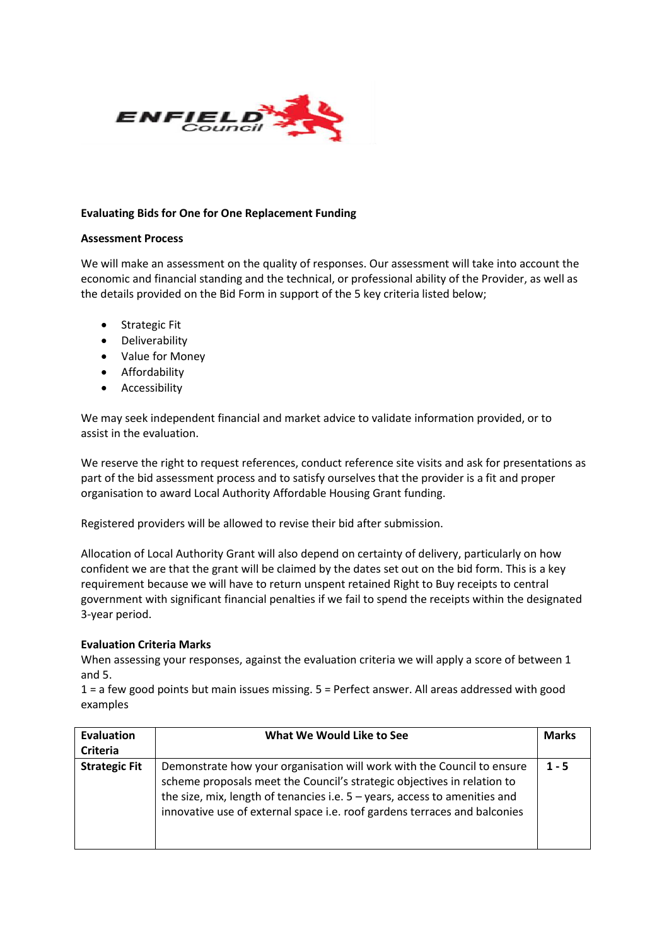

## **Evaluating Bids for One for One Replacement Funding**

## **Assessment Process**

We will make an assessment on the quality of responses. Our assessment will take into account the economic and financial standing and the technical, or professional ability of the Provider, as well as the details provided on the Bid Form in support of the 5 key criteria listed below;

- Strategic Fit
- **•** Deliverability
- Value for Money
- Affordability
- **•** Accessibility

We may seek independent financial and market advice to validate information provided, or to assist in the evaluation.

We reserve the right to request references, conduct reference site visits and ask for presentations as part of the bid assessment process and to satisfy ourselves that the provider is a fit and proper organisation to award Local Authority Affordable Housing Grant funding.

Registered providers will be allowed to revise their bid after submission.

Allocation of Local Authority Grant will also depend on certainty of delivery, particularly on how confident we are that the grant will be claimed by the dates set out on the bid form. This is a key requirement because we will have to return unspent retained Right to Buy receipts to central government with significant financial penalties if we fail to spend the receipts within the designated 3-year period.

## **Evaluation Criteria Marks**

When assessing your responses, against the evaluation criteria we will apply a score of between 1 and 5.

1 = a few good points but main issues missing. 5 = Perfect answer. All areas addressed with good examples

| <b>Evaluation</b>    | What We Would Like to See                                                                                                                                                                                                                                                                                            | <b>Marks</b> |
|----------------------|----------------------------------------------------------------------------------------------------------------------------------------------------------------------------------------------------------------------------------------------------------------------------------------------------------------------|--------------|
| Criteria             |                                                                                                                                                                                                                                                                                                                      |              |
| <b>Strategic Fit</b> | Demonstrate how your organisation will work with the Council to ensure<br>scheme proposals meet the Council's strategic objectives in relation to<br>the size, mix, length of tenancies i.e. $5 - \gamma$ ears, access to amenities and<br>innovative use of external space i.e. roof gardens terraces and balconies | $1 - 5$      |